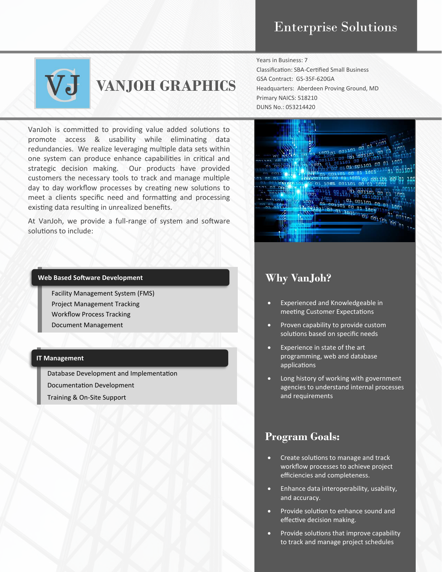

# **VANJOH GRAPHICS**

VanJoh is committed to providing value added solutions to promote access & usability while eliminating data redundancies. We realize leveraging multiple data sets within one system can produce enhance capabilities in critical and strategic decision making. Our products have provided customers the necessary tools to track and manage multiple day to day workflow processes by creating new solutions to meet a clients specific need and formatting and processing existing data resulting in unrealized benefits.

At VanJoh, we provide a full-range of system and software solutions to include:

#### **Web Based Software Development**

Facility Management System (FMS) Project Management Tracking Workflow Process Tracking Document Management

#### **IT Management**

Database Development and Implementation Documentation Development

Training & On-Site Support

#### Years in Business: 7

Classification: SBA-Certified Small Business GSA Contract: GS-35F-620GA Headquarters: Aberdeen Proving Ground, MD Primary NAICS: 518210 DUNS No.: 053214420



## **Why VanJoh?**

- Experienced and Knowledgeable in meeting Customer Expectations
- Proven capability to provide custom solutions based on specific needs
- Experience in state of the art programming, web and database applications
- Long history of working with government agencies to understand internal processes and requirements

## **Program Goals:**

- Create solutions to manage and track workflow processes to achieve project efficiencies and completeness.
- Enhance data interoperability, usability, and accuracy.
- Provide solution to enhance sound and effective decision making.
- Provide solutions that improve capability to track and manage project schedules